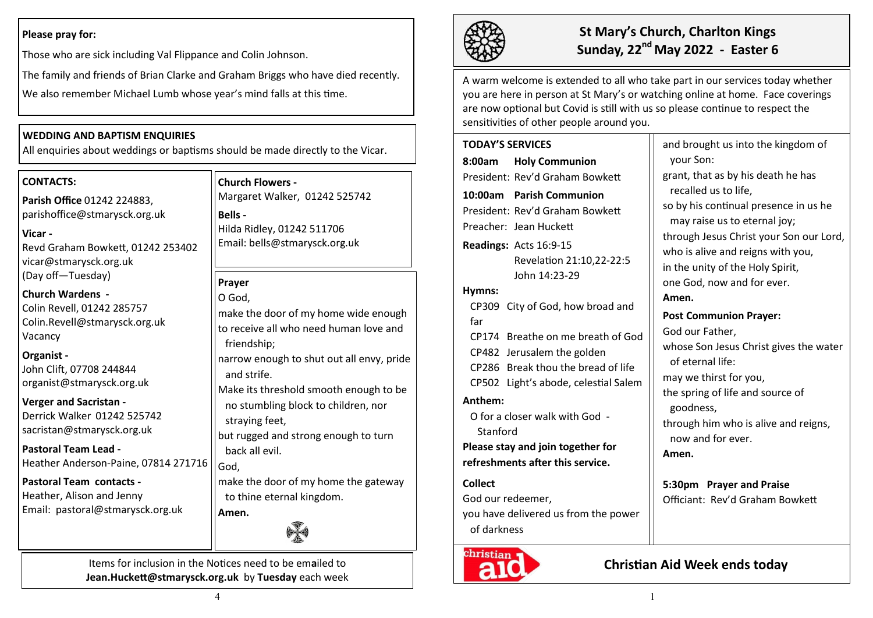## **Please pray for:**

Those who are sick including Val Flippance and Colin Johnson.

The family and friends of Brian Clarke and Graham Briggs who have died recently.

We also remember Michael Lumb whose year's mind falls at this time.

## **WEDDING AND BAPTISM ENQUIRIES**

All enquiries about weddings or baptisms should be made directly to the Vicar.

### **CONTACTS:**

**Parish Office** 01242 224883, parishoffice@stmarysck.org.uk

### **Vicar -**

Revd Graham Bowkett, 01242 253402 vicar@stmarysck.org.uk (Day off—Tuesday)

**Church Wardens -** Colin Revell, 01242 285757 Colin.Revell@stmarysck.org.uk Vacancy

### **Organist -**

John Clift, 07708 244844 organist@stmarysck.org.uk

### **Verger and Sacristan -**

Derrick Walker 01242 525742 sacristan@stmarysck.org.uk

**Pastoral Team Lead -** Heather Anderson-Paine, 07814 271716

## **Pastoral Team contacts -**

Heather, Alison and Jenny Email: pastoral@stmarysck.org.uk

# **Church Flowers -**

Margaret Walker, 01242 525742 **Bells -** Hilda Ridley, 01242 511706 Email: bells@stmarysck.org.uk

## **Prayer**

O God, make the door of my home wide enough to receive all who need human love and friendship; narrow enough to shut out all envy, pride

and strife.

Make its threshold smooth enough to be no stumbling block to children, nor straying feet,

but rugged and strong enough to turn back all evil.

God,

**Amen.**

make the door of my home the gateway to thine eternal kingdom.



Items for inclusion in the Notices need to be em**a**iled to **Jean.Huckett@stmarysck.org.uk** by **Tuesday** each week



# **St Mary's Church, Charlton Kings Sunday, 22nd May 2022 - Easter 6**

your Son:

A warm welcome is extended to all who take part in our services today whether you are here in person at St Mary's or watching online at home. Face coverings are now optional but Covid is still with us so please continue to respect the sensitivities of other people around you.

## **TODAY'S SERVICES 8:00am Holy Communion** President: Rev'd Graham Bowkett **10:00am Parish Communion**  President: Rev'd Graham Bowkett Preacher: Jean Huckett **Readings:** Acts 16:9-15 Revelation 21:10,22-22:5 John 14:23-29 **Hymns:** CP309 City of God, how broad and far CP174 Breathe on me breath of God CP482 Jerusalem the golden CP286 Break thou the bread of life CP502 Light's abode, celestial Salem **Anthem:**  O for a closer walk with God - Stanford **Please stay and join together for refreshments after this service.**

**Collect** 

God our redeemer,

you have delivered us from the power of darkness



grant, that as by his death he has recalled us to life, so by his continual presence in us he may raise us to eternal joy; through Jesus Christ your Son our Lord, who is alive and reigns with you, in the unity of the Holy Spirit, one God, now and for ever. **Amen. Post Communion Prayer:** God our Father, whose Son Jesus Christ gives the water of eternal life: may we thirst for you, the spring of life and source of goodness, through him who is alive and reigns, now and for ever. **Amen.**

and brought us into the kingdom of

**5:30pm Prayer and Praise** Officiant: Rev'd Graham Bowkett

# **Christian Aid Week ends today**